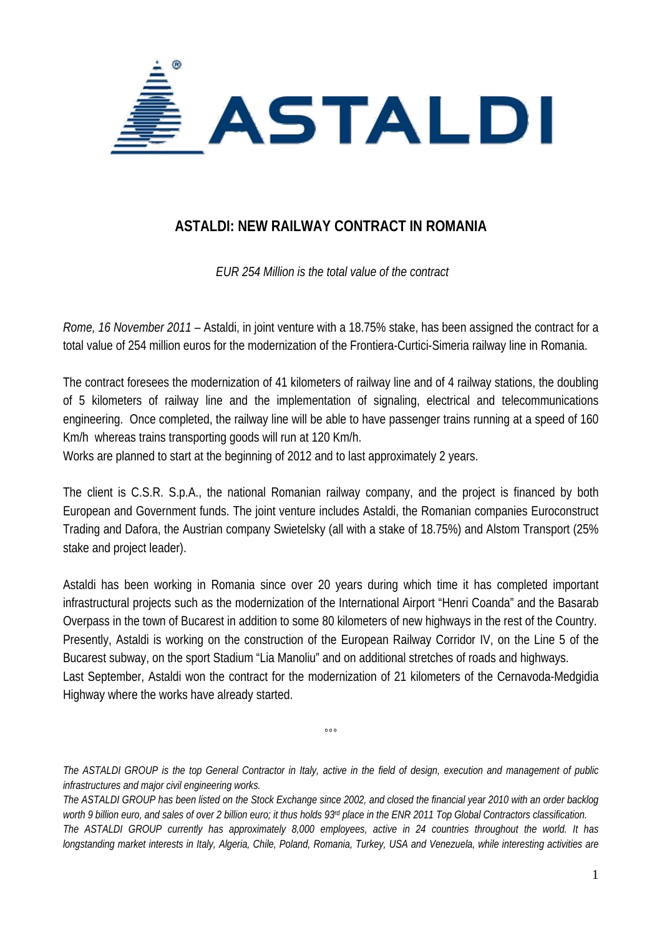

## **ASTALDI: NEW RAILWAY CONTRACT IN ROMANIA**

 *EUR 254 Million is the total value of the contract* 

*Rome, 16 November 2011* – Astaldi, in joint venture with a 18.75% stake, has been assigned the contract for a total value of 254 million euros for the modernization of the Frontiera-Curtici-Simeria railway line in Romania.

The contract foresees the modernization of 41 kilometers of railway line and of 4 railway stations, the doubling of 5 kilometers of railway line and the implementation of signaling, electrical and telecommunications engineering. Once completed, the railway line will be able to have passenger trains running at a speed of 160 Km/h whereas trains transporting goods will run at 120 Km/h.

Works are planned to start at the beginning of 2012 and to last approximately 2 years.

The client is C.S.R. S.p.A., the national Romanian railway company, and the project is financed by both European and Government funds. The joint venture includes Astaldi, the Romanian companies Euroconstruct Trading and Dafora, the Austrian company Swietelsky (all with a stake of 18.75%) and Alstom Transport (25% stake and project leader).

Astaldi has been working in Romania since over 20 years during which time it has completed important infrastructural projects such as the modernization of the International Airport "Henri Coanda" and the Basarab Overpass in the town of Bucarest in addition to some 80 kilometers of new highways in the rest of the Country. Presently, Astaldi is working on the construction of the European Railway Corridor IV, on the Line 5 of the Bucarest subway, on the sport Stadium "Lia Manoliu" and on additional stretches of roads and highways. Last September, Astaldi won the contract for the modernization of 21 kilometers of the Cernavoda-Medgidia Highway where the works have already started.

*The ASTALDI GROUP is the top General Contractor in Italy, active in the field of design, execution and management of public infrastructures and major civil engineering works.* 

*°°°* 

*The ASTALDI GROUP has been listed on the Stock Exchange since 2002, and closed the financial year 2010 with an order backlog worth 9 billion euro, and sales of over 2 billion euro; it thus holds 93rd place in the ENR 2011 Top Global Contractors classification.* 

*The ASTALDI GROUP currently has approximately 8,000 employees, active in 24 countries throughout the world. It has longstanding market interests in Italy, Algeria, Chile, Poland, Romania, Turkey, USA and Venezuela, while interesting activities are*